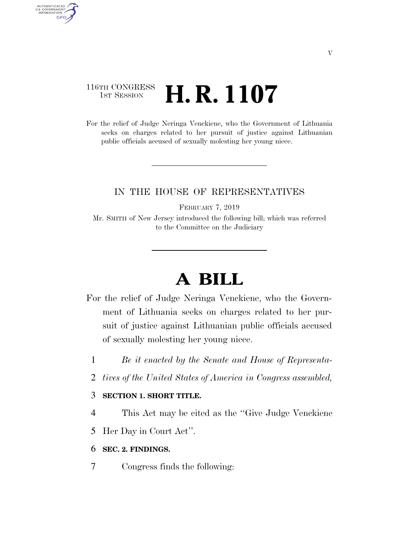### 116TH CONGRESS  $\frac{1}{15T}$  Session **H. R. 1107**

AUTHENTICATED<br>U.S. GOVERNMENT<br>INFORMATION

**GPO** 

For the relief of Judge Neringa Venckiene, who the Government of Lithuania seeks on charges related to her pursuit of justice against Lithuanian public officials accused of sexually molesting her young niece.

### IN THE HOUSE OF REPRESENTATIVES

FEBRUARY 7, 2019

Mr. SMITH of New Jersey introduced the following bill; which was referred to the Committee on the Judiciary

# **A BILL**

- For the relief of Judge Neringa Venckiene, who the Government of Lithuania seeks on charges related to her pursuit of justice against Lithuanian public officials accused of sexually molesting her young niece.
	- 1 *Be it enacted by the Senate and House of Representa-*
	- 2 *tives of the United States of America in Congress assembled,*

#### 3 **SECTION 1. SHORT TITLE.**

- 4 This Act may be cited as the ''Give Judge Venckiene
- 5 Her Day in Court Act''.
- 6 **SEC. 2. FINDINGS.**
- 7 Congress finds the following: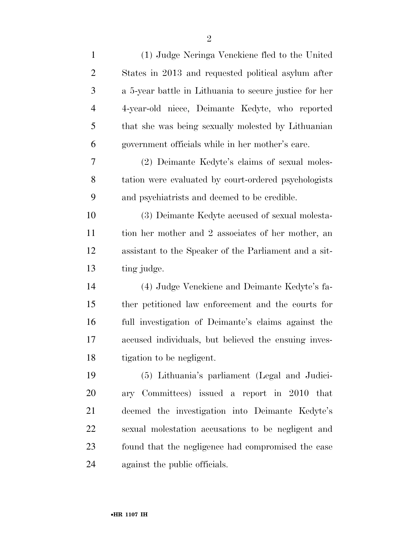| $\mathbf{1}$   | (1) Judge Neringa Venckiene fled to the United         |
|----------------|--------------------------------------------------------|
| $\overline{2}$ | States in 2013 and requested political asylum after    |
| 3              | a 5-year battle in Lithuania to secure justice for her |
| $\overline{4}$ | 4-year-old niece, Deimante Kedyte, who reported        |
| 5              | that she was being sexually molested by Lithuanian     |
| 6              | government officials while in her mother's care.       |
| 7              | (2) Deimante Kedyte's claims of sexual moles-          |
| 8              | tation were evaluated by court-ordered psychologists   |
| 9              | and psychiatrists and deemed to be credible.           |
| 10             | (3) Deimante Kedyte accused of sexual molesta-         |
| 11             | tion her mother and 2 associates of her mother, an     |
| 12             | assistant to the Speaker of the Parliament and a sit-  |
| 13             | ting judge.                                            |
| 14             | (4) Judge Venckiene and Deimante Kedyte's fa-          |
| 15             | ther petitioned law enforcement and the courts for     |
| 16             | full investigation of Deimante's claims against the    |
| 17             | accused individuals, but believed the ensuing inves-   |
| 18             | tigation to be negligent.                              |
| 19             | (5) Lithuania's parliament (Legal and Judici-          |
| 20             | ary Committees) issued a report in 2010 that           |
| 21             | deemed the investigation into Deimante Kedyte's        |
| 22             | sexual molestation accusations to be negligent and     |
| 23             | found that the negligence had compromised the case     |
| 24             | against the public officials.                          |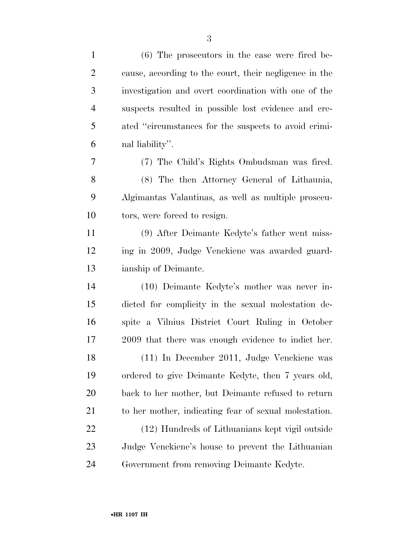| $\mathbf{1}$   | $(6)$ The prosecutors in the case were fired be-       |
|----------------|--------------------------------------------------------|
| $\overline{2}$ | cause, according to the court, their negligence in the |
| 3              | investigation and overt coordination with one of the   |
| $\overline{4}$ | suspects resulted in possible lost evidence and cre-   |
| 5              | ated "circumstances for the suspects to avoid crimi-   |
| 6              | nal liability".                                        |
| 7              | (7) The Child's Rights Ombudsman was fired.            |
| 8              | (8) The then Attorney General of Lithaunia,            |
| 9              | Algimantas Valantinas, as well as multiple prosecu-    |
| 10             | tors, were forced to resign.                           |
| 11             | (9) After Deimante Kedyte's father went miss-          |
| 12             | ing in 2009, Judge Venckiene was awarded guard-        |
| 13             | ianship of Deimante.                                   |
| 14             | (10) Deimante Kedyte's mother was never in-            |
| 15             | dicted for complicity in the sexual molestation de-    |
| 16             | spite a Vilnius District Court Ruling in October       |
| 17             | 2009 that there was enough evidence to indict her.     |
| 18             | (11) In December 2011, Judge Venckiene was             |
| 19             | ordered to give Deimante Kedyte, then 7 years old,     |
| 20             | back to her mother, but Deimante refused to return     |
| 21             | to her mother, indicating fear of sexual molestation.  |
| 22             | (12) Hundreds of Lithuanians kept vigil outside        |
| 23             | Judge Venckiene's house to prevent the Lithuanian      |
| 24             | Government from removing Deimante Kedyte.              |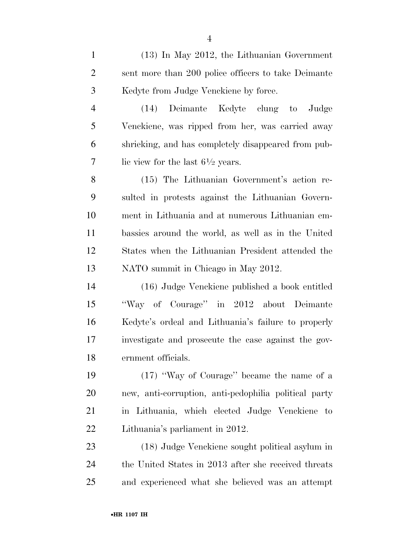(13) In May 2012, the Lithuanian Government sent more than 200 police officers to take Deimante Kedyte from Judge Venckiene by force.

 (14) Deimante Kedyte clung to Judge Venckiene, was ripped from her, was carried away shrieking, and has completely disappeared from pub-7 lie view for the last  $6\frac{1}{2}$  years.

 (15) The Lithuanian Government's action re- sulted in protests against the Lithuanian Govern- ment in Lithuania and at numerous Lithuanian em- bassies around the world, as well as in the United States when the Lithuanian President attended the NATO summit in Chicago in May 2012.

 (16) Judge Venckiene published a book entitled ''Way of Courage'' in 2012 about Deimante Kedyte's ordeal and Lithuania's failure to properly investigate and prosecute the case against the gov-ernment officials.

 (17) ''Way of Courage'' became the name of a new, anti-corruption, anti-pedophilia political party in Lithuania, which elected Judge Venckiene to Lithuania's parliament in 2012.

 (18) Judge Venckiene sought political asylum in the United States in 2013 after she received threats and experienced what she believed was an attempt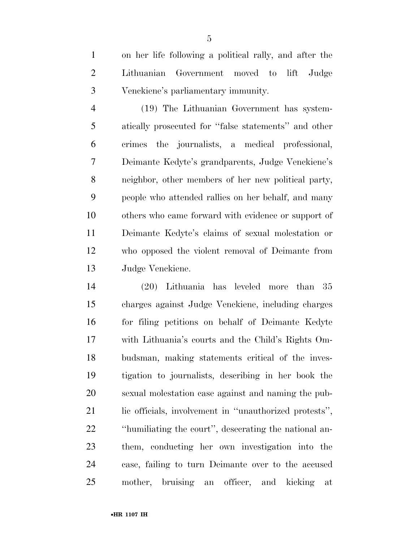on her life following a political rally, and after the Lithuanian Government moved to lift Judge Venckiene's parliamentary immunity.

 (19) The Lithuanian Government has system- atically prosecuted for ''false statements'' and other crimes the journalists, a medical professional, Deimante Kedyte's grandparents, Judge Venckiene's neighbor, other members of her new political party, people who attended rallies on her behalf, and many others who came forward with evidence or support of Deimante Kedyte's claims of sexual molestation or who opposed the violent removal of Deimante from Judge Venckiene.

 (20) Lithuania has leveled more than 35 charges against Judge Venckiene, including charges for filing petitions on behalf of Deimante Kedyte with Lithuania's courts and the Child's Rights Om- budsman, making statements critical of the inves- tigation to journalists, describing in her book the sexual molestation case against and naming the pub- lic officials, involvement in ''unauthorized protests'', ''humiliating the court'', desecrating the national an- them, conducting her own investigation into the case, failing to turn Deimante over to the accused mother, bruising an officer, and kicking at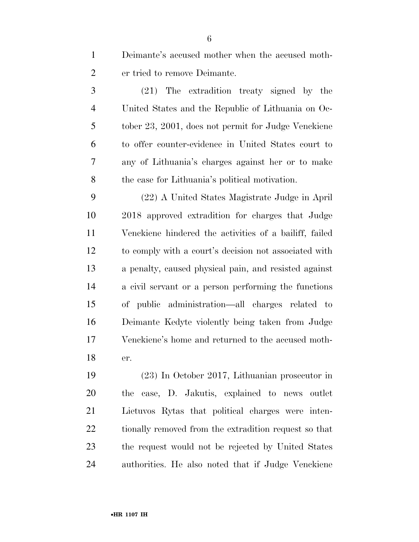Deimante's accused mother when the accused moth-er tried to remove Deimante.

 (21) The extradition treaty signed by the United States and the Republic of Lithuania on Oc- tober 23, 2001, does not permit for Judge Venckiene to offer counter-evidence in United States court to any of Lithuania's charges against her or to make the case for Lithuania's political motivation.

 (22) A United States Magistrate Judge in April 2018 approved extradition for charges that Judge Venckiene hindered the activities of a bailiff, failed to comply with a court's decision not associated with a penalty, caused physical pain, and resisted against a civil servant or a person performing the functions of public administration—all charges related to Deimante Kedyte violently being taken from Judge Venckiene's home and returned to the accused moth-er.

 (23) In October 2017, Lithuanian prosecutor in the case, D. Jakutis, explained to news outlet Lietuvos Rytas that political charges were inten-22 tionally removed from the extradition request so that the request would not be rejected by United States authorities. He also noted that if Judge Venckiene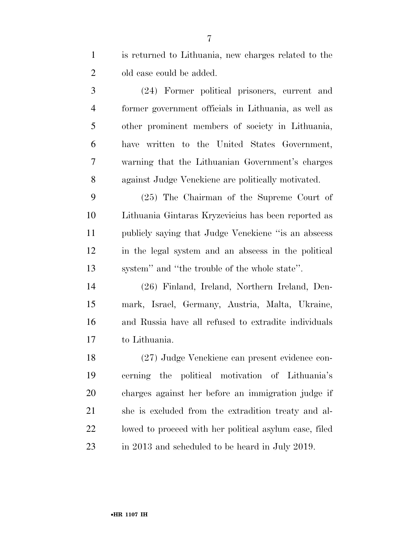is returned to Lithuania, new charges related to the old case could be added.

 (24) Former political prisoners, current and former government officials in Lithuania, as well as other prominent members of society in Lithuania, have written to the United States Government, warning that the Lithuanian Government's charges against Judge Venckiene are politically motivated.

 (25) The Chairman of the Supreme Court of Lithuania Gintaras Kryzevicius has been reported as publicly saying that Judge Venckiene ''is an abscess in the legal system and an abscess in the political system'' and ''the trouble of the whole state''.

 (26) Finland, Ireland, Northern Ireland, Den- mark, Israel, Germany, Austria, Malta, Ukraine, and Russia have all refused to extradite individuals to Lithuania.

 (27) Judge Venckiene can present evidence con- cerning the political motivation of Lithuania's charges against her before an immigration judge if she is excluded from the extradition treaty and al- lowed to proceed with her political asylum case, filed in 2013 and scheduled to be heard in July 2019.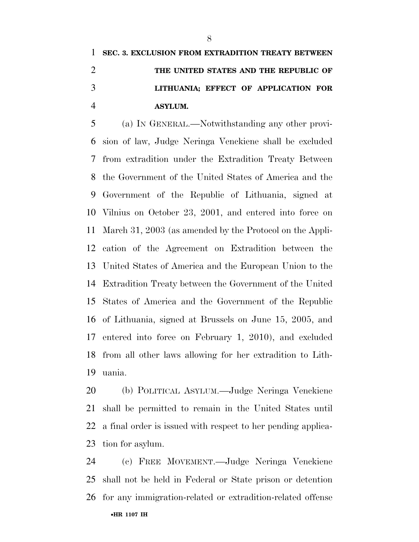## **SEC. 3. EXCLUSION FROM EXTRADITION TREATY BETWEEN THE UNITED STATES AND THE REPUBLIC OF LITHUANIA; EFFECT OF APPLICATION FOR ASYLUM.**

 (a) IN GENERAL.—Notwithstanding any other provi- sion of law, Judge Neringa Venckiene shall be excluded from extradition under the Extradition Treaty Between the Government of the United States of America and the Government of the Republic of Lithuania, signed at Vilnius on October 23, 2001, and entered into force on March 31, 2003 (as amended by the Protocol on the Appli- cation of the Agreement on Extradition between the United States of America and the European Union to the Extradition Treaty between the Government of the United States of America and the Government of the Republic of Lithuania, signed at Brussels on June 15, 2005, and entered into force on February 1, 2010), and excluded from all other laws allowing for her extradition to Lith-uania.

 (b) POLITICAL ASYLUM.—Judge Neringa Venckiene shall be permitted to remain in the United States until a final order is issued with respect to her pending applica-tion for asylum.

•**HR 1107 IH** (c) FREE MOVEMENT.—Judge Neringa Venckiene shall not be held in Federal or State prison or detention for any immigration-related or extradition-related offense